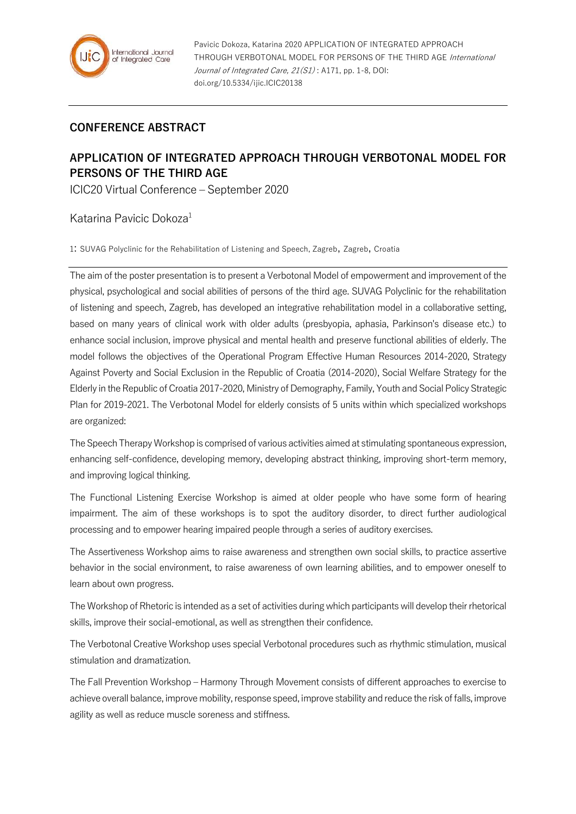

## **CONFERENCE ABSTRACT**

## **APPLICATION OF INTEGRATED APPROACH THROUGH VERBOTONAL MODEL FOR PERSONS OF THE THIRD AGE**

ICIC20 Virtual Conference – September 2020

## Katarina Pavicic Dokoza<sup>1</sup>

1: SUVAG Polyclinic for the Rehabilitation of Listening and Speech, Zagreb, Zagreb, Croatia

The aim of the poster presentation is to present a Verbotonal Model of empowerment and improvement of the physical, psychological and social abilities of persons of the third age. SUVAG Polyclinic for the rehabilitation of listening and speech, Zagreb, has developed an integrative rehabilitation model in a collaborative setting, based on many years of clinical work with older adults (presbyopia, aphasia, Parkinson's disease etc.) to enhance social inclusion, improve physical and mental health and preserve functional abilities of elderly. The model follows the objectives of the Operational Program Effective Human Resources 2014-2020, Strategy Against Poverty and Social Exclusion in the Republic of Croatia (2014-2020), Social Welfare Strategy for the Elderly in the Republic of Croatia 2017-2020, Ministry of Demography, Family, Youth and Social Policy Strategic Plan for 2019-2021. The Verbotonal Model for elderly consists of 5 units within which specialized workshops are organized:

The Speech Therapy Workshop is comprised of various activities aimed at stimulating spontaneous expression, enhancing self-confidence, developing memory, developing abstract thinking, improving short-term memory, and improving logical thinking.

The Functional Listening Exercise Workshop is aimed at older people who have some form of hearing impairment. The aim of these workshops is to spot the auditory disorder, to direct further audiological processing and to empower hearing impaired people through a series of auditory exercises.

The Assertiveness Workshop aims to raise awareness and strengthen own social skills, to practice assertive behavior in the social environment, to raise awareness of own learning abilities, and to empower oneself to learn about own progress.

The Workshop of Rhetoric is intended as a set of activities during which participants will develop their rhetorical skills, improve their social-emotional, as well as strengthen their confidence.

The Verbotonal Creative Workshop uses special Verbotonal procedures such as rhythmic stimulation, musical stimulation and dramatization.

The Fall Prevention Workshop – Harmony Through Movement consists of different approaches to exercise to achieve overall balance, improve mobility, response speed, improve stability and reduce the risk of falls, improve agility as well as reduce muscle soreness and stiffness.